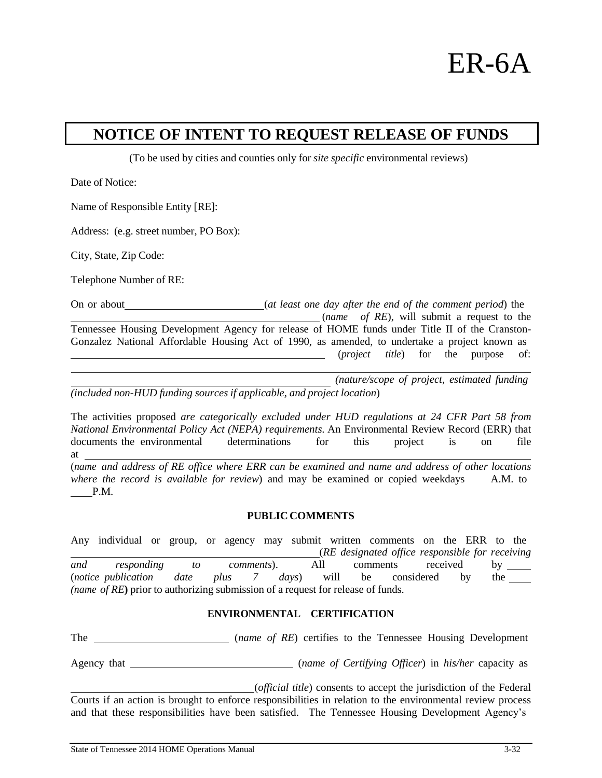

## **NOTICE OF INTENT TO REQUEST RELEASE OF FUNDS**

(To be used by cities and counties only for *site specific* environmental reviews)

Date of Notice:

Name of Responsible Entity [RE]:

Address: (e.g. street number, PO Box):

City, State, Zip Code:

P.M.

Telephone Number of RE:

On or about (*at least one day after the end of the comment period*) the (*name of RE*), will submit a request to the Tennessee Housing Development Agency for release of HOME funds under Title II of the Cranston-Gonzalez National Affordable Housing Act of 1990, as amended, to undertake a project known as (*project title*) for the purpose of:

*(nature/scope of project, estimated funding (included non-HUD funding sources if applicable, and project location*)

The activities proposed *are categorically excluded under HUD regulations at 24 CFR Part 58 from National Environmental Policy Act (NEPA) requirements.* An Environmental Review Record (ERR) that documents the environmental determinations for this project is on file at (*name and address of RE office where ERR can be examined and name and address of other locations where the record is available for review*) and may be examined or copied weekdays A.M. to

## **PUBLIC COMMENTS**

Any individual or group, or agency may submit written comments on the ERR to the (*RE designated office responsible for receiving and responding to comments*). All comments received by (*notice publication date plus 7 days*) will be considered by the *(name of RE***)** prior to authorizing submission of a request for release of funds.

## **ENVIRONMENTAL CERTIFICATION**

The **Conserver Conserverse** (*name of RE*) certifies to the Tennessee Housing Development

Agency that (*name of Certifying Officer*) in *his/her* capacity as

(*official title*) consents to accept the jurisdiction of the Federal Courts if an action is brought to enforce responsibilities in relation to the environmental review process and that these responsibilities have been satisfied. The Tennessee Housing Development Agency's